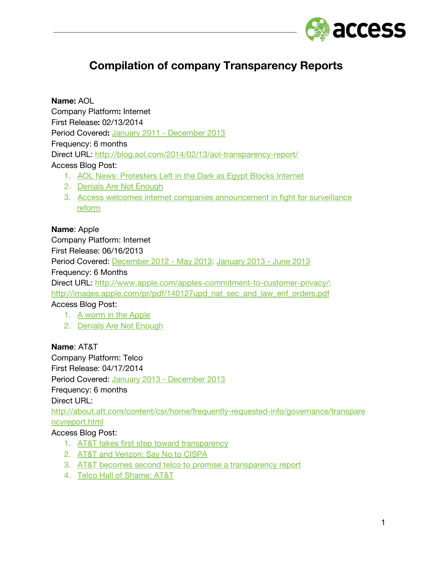

# **Compilation of company Transparency Reports**

**Name:** AOL

Company Platform**:** Internet First Release**:** 02/13/2014 Period Covered**:** January 2011 - [December](http://www.google.com/url?q=http%3A%2F%2Fblog.aol.com%2F2014%2F02%2F13%2Faol-transparency-report%2F&sa=D&sntz=1&usg=AFQjCNFFJnqym4vnPTs8uBQ734eS3CIzuA) 2013 Frequency: 6 months Direct URL: [http://blog.aol.com/2014/02/13/aol-transparency-report/](http://www.google.com/url?q=http%3A%2F%2Fblog.aol.com%2F2014%2F02%2F13%2Faol-transparency-report%2F&sa=D&sntz=1&usg=AFQjCNFFJnqym4vnPTs8uBQ734eS3CIzuA) Access Blog Post:

- 1. AOL News: [Protesters](https://www.google.com/url?q=https%3A%2F%2Fwww.accessnow.org%2Fblog%2F2011%2F01%2F29%2Faol-news-protesters-left-in-the-dark-as-egypt-blocks-internet&sa=D&sntz=1&usg=AFQjCNFeeA0IwMEi78WjAAmQ_RBD7PNrmg) Left in the Dark as Egypt Blocks Internet
- 2. Denials Are Not [Enough](https://www.google.com/url?q=https%3A%2F%2Fwww.accessnow.org%2Fpage%2Fs%2Fdenials-are-not-enough&sa=D&sntz=1&usg=AFQjCNG97whS52zToxjKyVcTeWXgizkj_Q)
- 3. Access welcomes internet companies [announcement](https://www.google.com/url?q=https%3A%2F%2Fwww.accessnow.org%2Fblog%2F2013%2F12%2F09%2Faccess-welcomes-internet-companies-announcement-in-fight-for-surveillance-r&sa=D&sntz=1&usg=AFQjCNFB3mf1RqdDGoEnA_rygOph7EsTAA) in fight for surveillance [reform](https://www.google.com/url?q=https%3A%2F%2Fwww.accessnow.org%2Fblog%2F2013%2F12%2F09%2Faccess-welcomes-internet-companies-announcement-in-fight-for-surveillance-r&sa=D&sntz=1&usg=AFQjCNFB3mf1RqdDGoEnA_rygOph7EsTAA)

#### **Name**: Apple

Company Platform: Internet First Release: 06/16/2013 Period Covered: [December](https://www.google.com/url?q=https%3A%2F%2Fwww.apple.com%2Fapples-commitment-to-customer-privacy%2F&sa=D&sntz=1&usg=AFQjCNHjTJIR_m8gXhQFp7-67Zj3ue8WCg) 2012 - May 2013; [January](https://www.google.com/url?q=https%3A%2F%2Fwww.apple.com%2Fpr%2Fpdf%2F131105reportongovinforequests3.pdf&sa=D&sntz=1&usg=AFQjCNE-v6ocS2UzU94FSUW9RQlnBdJZIg) 2013 - June 2013 Frequency: 6 Months Direct URL: [http://www.apple.com/apples-commitment-to-customer-privacy/](http://www.google.com/url?q=http%3A%2F%2Fwww.apple.com%2Fapples-commitment-to-customer-privacy%2F&sa=D&sntz=1&usg=AFQjCNF9t3RHglwmEIRREEsFLTiziKvRJA); [http://images.apple.com/pr/pdf/140127upd\\_nat\\_sec\\_and\\_law\\_enf\\_orders.pdf](http://www.google.com/url?q=http%3A%2F%2Fimages.apple.com%2Fpr%2Fpdf%2F140127upd_nat_sec_and_law_enf_orders.pdf&sa=D&sntz=1&usg=AFQjCNE-ILHMSwaC3oQ7JXukC_bxyEeDIw) Access Blog Post: 1. A worm in the [Apple](https://www.google.com/url?q=https%3A%2F%2Fwww.accessnow.org%2Fpage%2Fs%2Fa-worm-in-the-apple&sa=D&sntz=1&usg=AFQjCNEfxZItVNDG8J3P2tW0bLxOU3wi0A)

2. Denials Are Not [Enough](https://www.google.com/url?q=https%3A%2F%2Fwww.accessnow.org%2Fpage%2Fs%2Fdenials-are-not-enough&sa=D&sntz=1&usg=AFQjCNG97whS52zToxjKyVcTeWXgizkj_Q)

## **Name**: AT&T

Company Platform: Telco First Release: 04/17/2014 Period Covered: January 2013 - [December](http://www.google.com/url?q=http%3A%2F%2Fabout.att.com%2Fcontent%2Fcsr%2Fhome%2Ffrequently-requested-info%2Fgovernance%2Ftransparencyreport.html&sa=D&sntz=1&usg=AFQjCNGPBqo9xbS0K3pBVKse8aYosPYt8Q) 2013 Frequency: 6 months Direct URL:

[http://about.att.com/content/csr/home/frequently-requested-info/governance/transpare](http://www.google.com/url?q=http%3A%2F%2Fabout.att.com%2Fcontent%2Fcsr%2Fhome%2Ffrequently-requested-info%2Fgovernance%2Ftransparencyreport.html&sa=D&sntz=1&usg=AFQjCNGPBqo9xbS0K3pBVKse8aYosPYt8Q) [ncyreport.html](http://www.google.com/url?q=http%3A%2F%2Fabout.att.com%2Fcontent%2Fcsr%2Fhome%2Ffrequently-requested-info%2Fgovernance%2Ftransparencyreport.html&sa=D&sntz=1&usg=AFQjCNGPBqo9xbS0K3pBVKse8aYosPYt8Q)

#### Access Blog Post:

- 1. AT&T takes first step toward [transparency](https://www.google.com/url?q=https%3A%2F%2Fwww.accessnow.org%2Fblog%2F2013%2F12%2F20%2Fatt-takes-first-step-toward-transparency&sa=D&sntz=1&usg=AFQjCNG07YNtdLbgW4BKovj-3JsfBlxTGg)
- 2. AT&T and [Verizon:](https://www.google.com/url?q=https%3A%2F%2Fwww.accessnow.org%2Fpage%2Fs%2Fat-t-and-verizon-say-no-to-cispa&sa=D&sntz=1&usg=AFQjCNEJKmbr5hdUjg93Hfk9xAiedJByiQ) Say No to CISPA
- 3. AT&T becomes second telco to promise a [transparency](https://www.google.com/url?q=https%3A%2F%2Fwww.accessnow.org%2Fblog%2F2013%2F12%2F20%2Fatt-becomes-second-telco-to-promise-a-transparency-report&sa=D&sntz=1&usg=AFQjCNFd0JJ5AV-32iChLYkvOuZrfTATrQ) report
- 4. Telco Hall of [Shame:](https://www.google.com/url?q=https%3A%2F%2Fwww.accessnow.org%2Fblog%2F2013%2F02%2F05%2Ftelco-hall-of-shame-att&sa=D&sntz=1&usg=AFQjCNH4AKUiGcKrzuM9WLu038ToFqR4_w) AT&T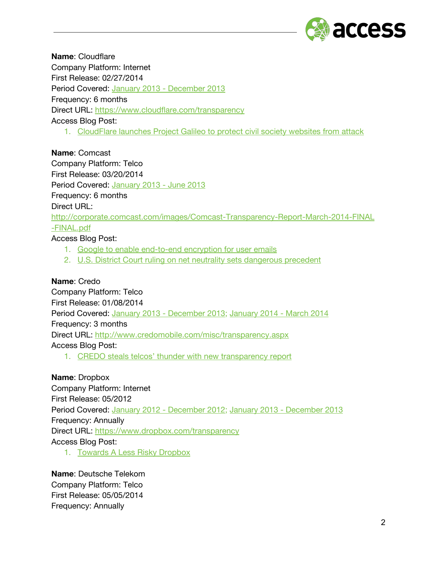

**Name**: Cloudflare Company Platform: Internet First Release: 02/27/2014 Period Covered: January 2013 - [December](https://www.google.com/url?q=https%3A%2F%2Fwww.cloudflare.com%2Ftransparency&sa=D&sntz=1&usg=AFQjCNEczp8DKsNC6VFNpCy6acAO-ma_bA) 2013 Frequency: 6 months Direct URL: [https://www.cloudflare.com/transparency](https://www.google.com/url?q=https%3A%2F%2Fwww.cloudflare.com%2Ftransparency&sa=D&sntz=1&usg=AFQjCNEczp8DKsNC6VFNpCy6acAO-ma_bA) Access Blog Post:

1. [CloudFlare](https://www.google.com/url?q=https%3A%2F%2Fwww.accessnow.org%2Fblog%2F2014%2F06%2F12%2Fpress-release-cloudflare-launches-project-galileo-to-protect-civil-society&sa=D&sntz=1&usg=AFQjCNFCCuhlN1O16xab350aFG9t2QhTAA) launches Project Galileo to protect civil society websites from attack

**Name**: Comcast Company Platform: Telco First Release: 03/20/2014 Period Covered: [January](http://www.google.com/url?q=http%3A%2F%2Fcorporate.comcast.com%2Fimages%2FComcast-Transparency-Report-March-2014-FINAL-FINAL.pdf&sa=D&sntz=1&usg=AFQjCNHxn7KTUyhuMWuu7TU7bGe-oRYzhA) 2013 - June 2013 Frequency: 6 months Direct URL: [http://corporate.comcast.com/images/Comcast-Transparency-Report-March-2014-FINAL](http://www.google.com/url?q=http%3A%2F%2Fcorporate.comcast.com%2Fimages%2FComcast-Transparency-Report-March-2014-FINAL-FINAL.pdf&sa=D&sntz=1&usg=AFQjCNHxn7KTUyhuMWuu7TU7bGe-oRYzhA) [-FINAL.pdf](http://www.google.com/url?q=http%3A%2F%2Fcorporate.comcast.com%2Fimages%2FComcast-Transparency-Report-March-2014-FINAL-FINAL.pdf&sa=D&sntz=1&usg=AFQjCNHxn7KTUyhuMWuu7TU7bGe-oRYzhA)

Access Blog Post:

- 1. Google to enable [end-to-end](https://www.google.com/url?q=https%3A%2F%2Fwww.accessnow.org%2Fblog%2F2014%2F06%2F03%2Fgoogle-to-enable-users-to-encrypt-all-emails&sa=D&sntz=1&usg=AFQjCNHczRloBMikKZSKqT-adstviqEA6A) encryption for user emails
- 2. U.S. District Court ruling on net neutrality sets [dangerous](https://www.google.com/url?q=https%3A%2F%2Fwww.accessnow.org%2Fblog%2F2014%2F01%2F15%2Fu.s.-district-court-ruling-on-net-neutrality-sets-dangerous-precedent&sa=D&sntz=1&usg=AFQjCNEelYucTr_8PVI0syg_6xyYusxhSQ) precedent

### **Name**: Credo

Company Platform: Telco First Release: 01/08/2014 Period Covered: January 2013 - [December](http://www.google.com/url?q=http%3A%2F%2Fwww.credomobile.com%2Ftransparency-2013&sa=D&sntz=1&usg=AFQjCNHHV40ZdmmBiph00me5vKp8YW-Iog) 2013; [January](http://www.google.com/url?q=http%3A%2F%2Fwww.credomobile.com%2Ftransparency&sa=D&sntz=1&usg=AFQjCNER89kkiJDGi19mps0ZwpcVCbGPOQ) 2014 - March 2014 Frequency: 3 months Direct URL: [http://www.credomobile.com/misc/transparency.aspx](http://www.google.com/url?q=http%3A%2F%2Fwww.credomobile.com%2Fmisc%2Ftransparency.aspx&sa=D&sntz=1&usg=AFQjCNFVm3RsRSH7hpJZ4Vjox6zgJ9Hsgg) Access Blog Post:

1. CREDO steals telcos' thunder with new [transparency](https://www.google.com/url?q=https%3A%2F%2Fwww.accessnow.org%2Fblog%2F2014%2F01%2F09%2Fcredo-steals-telcos-thunder-with-new-transparency-report&sa=D&sntz=1&usg=AFQjCNEg3c4mnS_LuTEftofkKKqJs7PM0w) report

## **Name**: Dropbox

Company Platform: Internet First Release: 05/2012 Period Covered: January 2012 - [December](https://www.google.com/url?q=https%3A%2F%2Fwww.dropbox.com%2Ftransparency&sa=D&sntz=1&usg=AFQjCNHIssqOkNXANtIswm5KvnOpEOGoZw) 2012; January 2013 - [December](https://www.google.com/url?q=https%3A%2F%2Fwww.dropbox.com%2Ftransparency&sa=D&sntz=1&usg=AFQjCNHIssqOkNXANtIswm5KvnOpEOGoZw) 2013 Frequency: Annually Direct URL: [https://www.dropbox.com/transparency](https://www.google.com/url?q=https%3A%2F%2Fwww.dropbox.com%2Ftransparency&sa=D&sntz=1&usg=AFQjCNHIssqOkNXANtIswm5KvnOpEOGoZw) Access Blog Post:

1. Towards A Less Risky [Dropbox](https://www.google.com/url?q=https%3A%2F%2Fwww.accessnow.org%2Fblog%2F2011%2F04%2F22%2Ftowards-a-less-risky-dropbox&sa=D&sntz=1&usg=AFQjCNF0mvqRUknKhOxexV8wmx6F4Qrrqg)

**Name**: Deutsche Telekom Company Platform: Telco First Release: 05/05/2014 Frequency: Annually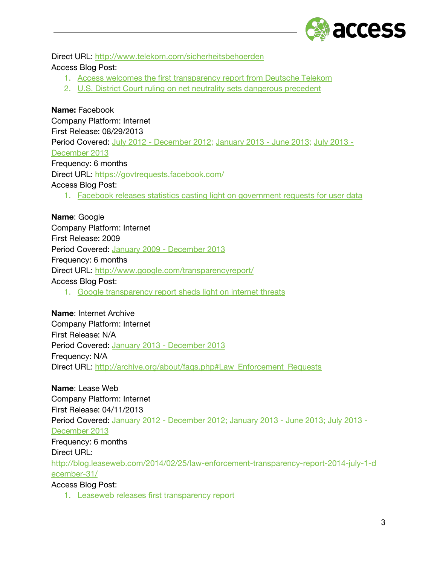

Direct URL: [http://www.telekom.com/sicherheitsbehoerden](http://www.google.com/url?q=http%3A%2F%2Fwww.telekom.com%2Fsicherheitsbehoerden&sa=D&sntz=1&usg=AFQjCNFxE4jrDrVmPRXQ_DosnM4lQt-RvA) Access Blog Post:

- 1. Access welcomes the first [transparency](https://www.google.com/url?q=https%3A%2F%2Fwww.accessnow.org%2Fblog%2F2014%2F05%2F09%2Faccess-welcomes-the-first-transparency-report-from-deutsche-telekom&sa=D&sntz=1&usg=AFQjCNFe59jpqv5Oh0UYx6oGWgk-QZkL1g) report from Deutsche Telekom
- 2. U.S. District Court ruling on net neutrality sets [dangerous](https://www.google.com/url?q=https%3A%2F%2Fwww.accessnow.org%2Fblog%2F2014%2F01%2F15%2Fu.s.-district-court-ruling-on-net-neutrality-sets-dangerous-precedent&sa=D&sntz=1&usg=AFQjCNEelYucTr_8PVI0syg_6xyYusxhSQ) precedent

### **Name:** Facebook

Company Platform: Internet First Release: 08/29/2013 Period Covered: July 2012 - [December](https://www.google.com/url?q=https%3A%2F%2Fnewsroom.fb.com%2Fnews%2F2013%2F06%2Ffacebook-releases-data-including-all-national-security-requests%2F&sa=D&sntz=1&usg=AFQjCNEtMIeVZNE_Tiajt7TMinMxD4QoHw) 2012; [January](https://www.google.com/url?q=https%3A%2F%2Fwww.facebook.com%2Fabout%2Fgovernment_requests&sa=D&sntz=1&usg=AFQjCNEenKTTuzt8iT6ylfxPscfbmO4gWA) 2013 - June 2013; July [2013](https://www.google.com/url?q=https%3A%2F%2Fgovtrequests.facebook.com%2F&sa=D&sntz=1&usg=AFQjCNFpB62Q3tTdx8ZVxmVZZq_D4uMAJg) - [December](https://www.google.com/url?q=https%3A%2F%2Fgovtrequests.facebook.com%2F&sa=D&sntz=1&usg=AFQjCNFpB62Q3tTdx8ZVxmVZZq_D4uMAJg) 2013 Frequency: 6 months Direct URL: [https://govtrequests.facebook.com/](https://www.google.com/url?q=https%3A%2F%2Fgovtrequests.facebook.com%2F&sa=D&sntz=1&usg=AFQjCNFpB62Q3tTdx8ZVxmVZZq_D4uMAJg) Access Blog Post: 1. Facebook releases statistics casting light on [government](https://www.google.com/url?q=https%3A%2F%2Fwww.accessnow.org%2Fblog%2F2013%2F08%2F27%2Ffacebook-releases-statistics-casting-light-government-requests-for-user-dat&sa=D&sntz=1&usg=AFQjCNFIrX4jnbv6cByWnYV4fIV0eT8J9A) requests for user data

**Name**: Google Company Platform: Internet First Release: 2009 Period Covered: January 2009 - [December](https://www.google.com/transparencyreport/userdatarequests/US/) 2013 Frequency: 6 months Direct URL: <http://www.google.com/transparencyreport/> Access Blog Post: 1. Google [transparency](https://www.google.com/url?q=https%3A%2F%2Fwww.accessnow.org%2Fblog%2F2012%2F12%2F06%2Fgoogle-transparency-report-sheds-light-on-internet-threats&sa=D&sntz=1&usg=AFQjCNGib83NUz9D4Lye9X25HplKRbJuoA) report sheds light on internet threats

**Name**: Internet Archive Company Platform: Internet First Release: N/A Period Covered: January 2013 - [December](http://www.google.com/url?q=http%3A%2F%2Farchive.org%2Fabout%2Ffaqs.php%23Law_Enforcement_Requests&sa=D&sntz=1&usg=AFQjCNE_GfKjs1sYEaoUynfew8GP_yLNHg) 2013 Frequency: N/A Direct URL: [http://archive.org/about/faqs.php#Law\\_Enforcement\\_Requests](http://www.google.com/url?q=http%3A%2F%2Farchive.org%2Fabout%2Ffaqs.php%23Law_Enforcement_Requests&sa=D&sntz=1&usg=AFQjCNE_GfKjs1sYEaoUynfew8GP_yLNHg)

**Name**: Lease Web Company Platform: Internet First Release: 04/11/2013 Period Covered: January 2012 - [December](http://www.google.com/url?q=http%3A%2F%2Fblog.leaseweb.com%2F2013%2F04%2F11%2Fleaseweb-first-hosting-provider-worldwide-to-launch-law-enforcement-transparency-report%2F&sa=D&sntz=1&usg=AFQjCNHTx58qROpoLl_R96Ak-g72sHVM7Q) 2012; [January](http://www.google.com/url?q=http%3A%2F%2Fblog.leaseweb.com%2F2013%2F08%2F28%2Flaw-enforcement-transparency-q1q2-2013%2F&sa=D&sntz=1&usg=AFQjCNG68NQmnusMHs7w5AyUSK19znDNrw) 2013 - June 2013; July [2013](http://www.google.com/url?q=http%3A%2F%2Fblog.leaseweb.com%2F2014%2F02%2F25%2Flaw-enforcement-transparency-report-2014-july-1-december-31%2F&sa=D&sntz=1&usg=AFQjCNHXPtkf4dOIvb2Micwapa1YPzpCYA) - [December](http://www.google.com/url?q=http%3A%2F%2Fblog.leaseweb.com%2F2014%2F02%2F25%2Flaw-enforcement-transparency-report-2014-july-1-december-31%2F&sa=D&sntz=1&usg=AFQjCNHXPtkf4dOIvb2Micwapa1YPzpCYA) 2013 Frequency: 6 months Direct URL: [http://blog.leaseweb.com/2014/02/25/law-enforcement-transparency-report-2014-july-1-d](http://www.google.com/url?q=http%3A%2F%2Fblog.leaseweb.com%2F2014%2F02%2F25%2Flaw-enforcement-transparency-report-2014-july-1-december-31%2F&sa=D&sntz=1&usg=AFQjCNHXPtkf4dOIvb2Micwapa1YPzpCYA) [ecember-31/](http://www.google.com/url?q=http%3A%2F%2Fblog.leaseweb.com%2F2014%2F02%2F25%2Flaw-enforcement-transparency-report-2014-july-1-december-31%2F&sa=D&sntz=1&usg=AFQjCNHXPtkf4dOIvb2Micwapa1YPzpCYA)

Access Blog Post:

1. Leaseweb releases first [transparency](https://www.google.com/url?q=https%3A%2F%2Fwww.accessnow.org%2Fblog%2F2013%2F04%2F12%2Fleaseweb-releases-first-transparency-report&sa=D&sntz=1&usg=AFQjCNFRXpVfQ0jyqxg7QJXTPyC2uPb0OA) report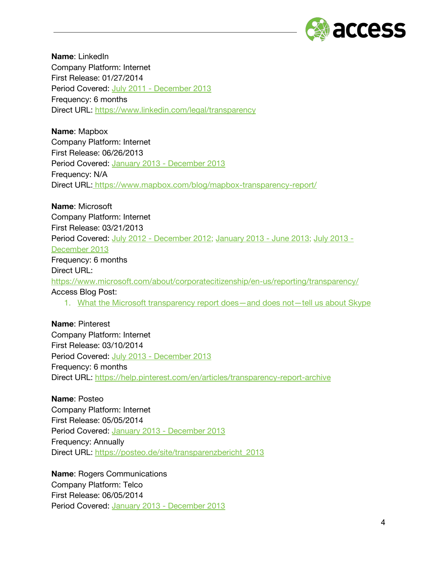

**Name**: LinkedIn Company Platform: Internet First Release: 01/27/2014 Period Covered: July 2011 - [December](https://www.google.com/url?q=https%3A%2F%2Fwww.linkedin.com%2Flegal%2Ftransparency&sa=D&sntz=1&usg=AFQjCNESgemYfV5KvncUg4juNdr6UIEKeg) 2013 Frequency: 6 months Direct URL: [https://www.linkedin.com/legal/transparency](https://www.google.com/url?q=https%3A%2F%2Fwww.linkedin.com%2Flegal%2Ftransparency&sa=D&sntz=1&usg=AFQjCNESgemYfV5KvncUg4juNdr6UIEKeg)

**Name**: Mapbox Company Platform: Internet First Release: 06/26/2013 Period Covered: January 2013 - [December](https://www.google.com/url?q=https%3A%2F%2Fwww.mapbox.com%2Fblog%2Fmapbox-transparency-report%2F&sa=D&sntz=1&usg=AFQjCNEzwAwtBHhy7N-WDfSWNkNEMLDIcA) 2013 Frequency: N/A Direct URL: [https://www.mapbox.com/blog/mapbox-transparency-report/](https://www.google.com/url?q=https%3A%2F%2Fwww.mapbox.com%2Fblog%2Fmapbox-transparency-report%2F&sa=D&sntz=1&usg=AFQjCNEzwAwtBHhy7N-WDfSWNkNEMLDIcA)

**Name**: Microsoft Company Platform: Internet First Release: 03/21/2013 Period Covered: July 2012 - [December](http://www.google.com/url?q=http%3A%2F%2Fblogs.technet.com%2Fb%2Fmicrosoft_on_the_issues%2Farchive%2F2013%2F06%2F14%2Fmicrosoft-s-u-s-law-enforcement-and-national-security-requests-for-last-half-of-2012.aspx&sa=D&sntz=1&usg=AFQjCNGhxIVL_SGip4k6w35I8-7YVpzlZA) 2012; [January](https://www.google.com/url?q=https%3A%2F%2Fwww.microsoft.com%2Fabout%2Fcorporatecitizenship%2Fen-us%2Freporting%2Ftransparency%2F&sa=D&sntz=1&usg=AFQjCNHYELiVQk8QNXnC6mVzUF4MTXPgeA) 2013 - June 2013; July [2013](https://www.google.com/url?q=https%3A%2F%2Fwww.microsoft.com%2Fabout%2Fcorporatecitizenship%2Fen-us%2Freporting%2Ftransparency%2F&sa=D&sntz=1&usg=AFQjCNHYELiVQk8QNXnC6mVzUF4MTXPgeA) - [December](https://www.google.com/url?q=https%3A%2F%2Fwww.microsoft.com%2Fabout%2Fcorporatecitizenship%2Fen-us%2Freporting%2Ftransparency%2F&sa=D&sntz=1&usg=AFQjCNHYELiVQk8QNXnC6mVzUF4MTXPgeA) 2013 Frequency: 6 months Direct URL: [https://www.microsoft.com/about/corporatecitizenship/en-us/reporting/transparency/](https://www.google.com/url?q=https%3A%2F%2Fwww.microsoft.com%2Fabout%2Fcorporatecitizenship%2Fen-us%2Freporting%2Ftransparency%2F&sa=D&sntz=1&usg=AFQjCNHYELiVQk8QNXnC6mVzUF4MTXPgeA) Access Blog Post: 1. What the Microsoft [transparency](https://www.google.com/url?q=https%3A%2F%2Fwww.accessnow.org%2Fblog%2F2013%2F04%2F03%2Fwhat-the-microsoft-transparency-report-does-and-does-not-tell-us-about-skyp&sa=D&sntz=1&usg=AFQjCNGrYdW6jubSfYQ3dyLGQpub7ExGfw) report does—and does not—tell us about Skype

**Name**: Pinterest Company Platform: Internet First Release: 03/10/2014 Period Covered: July 2013 - [December](https://www.google.com/url?q=https%3A%2F%2Fhelp.pinterest.com%2Fen%2Farticles%2Ftransparency-report-archive&sa=D&sntz=1&usg=AFQjCNEjxLZYc4UkRk8eUn-a_ssMt54nkQ) 2013 Frequency: 6 months Direct URL: [https://help.pinterest.com/en/articles/transparency-report-archive](https://www.google.com/url?q=https%3A%2F%2Fhelp.pinterest.com%2Fen%2Farticles%2Ftransparency-report-archive&sa=D&sntz=1&usg=AFQjCNEjxLZYc4UkRk8eUn-a_ssMt54nkQ)

**Name**: Posteo Company Platform: Internet First Release: 05/05/2014 Period Covered: January 2013 - [December](https://www.google.com/url?q=https%3A%2F%2Fposteo.de%2Fsite%2Ftransparenzbericht_2013&sa=D&sntz=1&usg=AFQjCNH_Tp_uhiN_5TXcPj3zk2mhXZs8XQ) 2013 Frequency: Annually Direct URL: [https://posteo.de/site/transparenzbericht\\_2013](https://www.google.com/url?q=https%3A%2F%2Fposteo.de%2Fsite%2Ftransparenzbericht_2013&sa=D&sntz=1&usg=AFQjCNH_Tp_uhiN_5TXcPj3zk2mhXZs8XQ)

**Name**: Rogers Communications Company Platform: Telco First Release: 06/05/2014 Period Covered: January 2013 - [December](http://www.google.com/url?q=http%3A%2F%2Fwww.rogers.com%2Fcms%2Fimages%2Fen%2FS35635%2520Rogers-2013-Transparency-Report-EN.pdf&sa=D&sntz=1&usg=AFQjCNE5c4h9492yuVTs9qk0-0cjrgi5pg) 2013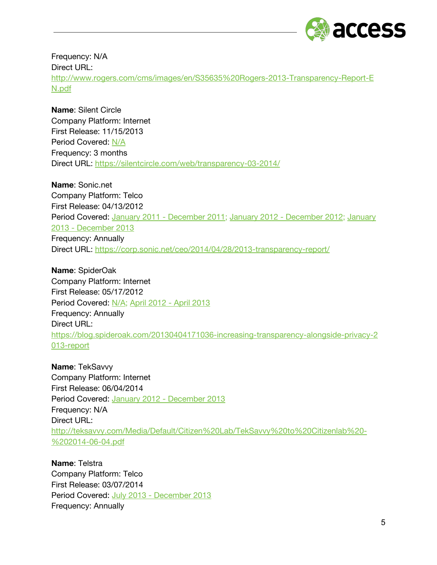

Frequency: N/A Direct URL: [http://www.rogers.com/cms/images/en/S35635%20Rogers-2013-Transparency-Report-E](http://www.google.com/url?q=http%3A%2F%2Fwww.rogers.com%2Fcms%2Fimages%2Fen%2FS35635%2520Rogers-2013-Transparency-Report-EN.pdf&sa=D&sntz=1&usg=AFQjCNE5c4h9492yuVTs9qk0-0cjrgi5pg) [N.pdf](http://www.google.com/url?q=http%3A%2F%2Fwww.rogers.com%2Fcms%2Fimages%2Fen%2FS35635%2520Rogers-2013-Transparency-Report-EN.pdf&sa=D&sntz=1&usg=AFQjCNE5c4h9492yuVTs9qk0-0cjrgi5pg)

**Name**: Silent Circle Company Platform: Internet First Release: 11/15/2013 Period Covered: [N/A](https://www.google.com/url?q=https%3A%2F%2Fblog.silentcircle.com%2Four-transparency-report%2F&sa=D&sntz=1&usg=AFQjCNEbaMmclChwT67u6A9n2mIremb42A) Frequency: 3 months Direct URL: [https://silentcircle.com/web/transparency-03-2014/](https://www.google.com/url?q=https%3A%2F%2Fsilentcircle.com%2Fweb%2Ftransparency-03-2014%2F&sa=D&sntz=1&usg=AFQjCNHFPN8WuRZLvK67VEycSuFe5ubQ7g)

**Name**: Sonic.net Company Platform: Telco First Release: 04/13/2012 Period Covered: January 2011 - [December](https://www.google.com/url?q=https%3A%2F%2Fcorp.sonic.net%2Fceo%2F2013%2F05%2F24%2F2012-transparency-report%2F&sa=D&sntz=1&usg=AFQjCNEZvXa_ffmMBCfORbPhWQpqHk_18w) 2011; [January](https://www.google.com/url?q=https%3A%2F%2Fcorp.sonic.net%2Fceo%2F2014%2F04%2F28%2F2013-transparency-report%2F&sa=D&sntz=1&usg=AFQjCNEv4KafI-WsemB-bIa6FzbF4UXk8Q) 2012 - December 2012; January 2013 - [December](https://www.google.com/url?q=https%3A%2F%2Fcorp.sonic.net%2Fceo%2F2014%2F04%2F28%2F2013-transparency-report%2F&sa=D&sntz=1&usg=AFQjCNEv4KafI-WsemB-bIa6FzbF4UXk8Q) 2013 Frequency: Annually Direct URL: [https://corp.sonic.net/ceo/2014/04/28/2013-transparency-report/](https://www.google.com/url?q=https%3A%2F%2Fcorp.sonic.net%2Fceo%2F2014%2F04%2F28%2F2013-transparency-report%2F&sa=D&sntz=1&usg=AFQjCNEv4KafI-WsemB-bIa6FzbF4UXk8Q)

**Name**: SpiderOak Company Platform: Internet First Release: 05/17/2012 Period Covered: [N/A;](https://www.google.com/url?q=https%3A%2F%2Fblog.spideroak.com%2F20120507010958-increasing-transparency-alongside-privacy&sa=D&sntz=1&usg=AFQjCNFpbGhsyjhGTgSxuPceUgjidh44Dg) April 2012 - April [2013](https://www.google.com/url?q=https%3A%2F%2Fblog.spideroak.com%2F20130404171036-increasing-transparency-alongside-privacy-2013-report&sa=D&sntz=1&usg=AFQjCNEq6ZeGLc1cwrW7JTU_1xWVIj0Ilg) Frequency: Annually Direct URL: [https://blog.spideroak.com/20130404171036-increasing-transparency-alongside-privacy-2](https://www.google.com/url?q=https%3A%2F%2Fblog.spideroak.com%2F20130404171036-increasing-transparency-alongside-privacy-2013-report&sa=D&sntz=1&usg=AFQjCNEq6ZeGLc1cwrW7JTU_1xWVIj0Ilg) [013-report](https://www.google.com/url?q=https%3A%2F%2Fblog.spideroak.com%2F20130404171036-increasing-transparency-alongside-privacy-2013-report&sa=D&sntz=1&usg=AFQjCNEq6ZeGLc1cwrW7JTU_1xWVIj0Ilg)

**Name**: TekSavvy Company Platform: Internet First Release: 06/04/2014 Period Covered: January 2012 - [December](http://www.google.com/url?q=http%3A%2F%2Fteksavvy.com%2FMedia%2FDefault%2FCitizen%2520Lab%2FTekSavvy%2520to%2520Citizenlab%2520-%25202014-06-04.pdf&sa=D&sntz=1&usg=AFQjCNE6VRyQ8IytRPE25qt_7Eg467A5_w) 2013 Frequency: N/A Direct URL: [http://teksavvy.com/Media/Default/Citizen%20Lab/TekSavvy%20to%20Citizenlab%20-](http://www.google.com/url?q=http%3A%2F%2Fteksavvy.com%2FMedia%2FDefault%2FCitizen%2520Lab%2FTekSavvy%2520to%2520Citizenlab%2520-%25202014-06-04.pdf&sa=D&sntz=1&usg=AFQjCNE6VRyQ8IytRPE25qt_7Eg467A5_w) [%202014-06-04.pdf](http://www.google.com/url?q=http%3A%2F%2Fteksavvy.com%2FMedia%2FDefault%2FCitizen%2520Lab%2FTekSavvy%2520to%2520Citizenlab%2520-%25202014-06-04.pdf&sa=D&sntz=1&usg=AFQjCNE6VRyQ8IytRPE25qt_7Eg467A5_w)

**Name**: Telstra Company Platform: Telco First Release: 03/07/2014 Period Covered: July 2013 - [December](http://www.google.com/url?q=http%3A%2F%2Fexchange.telstra.com.au%2Fwp-content%2Fuploads%2F2014%2F03%2FTransparency-Report_2014.pdf&sa=D&sntz=1&usg=AFQjCNGvBi0zMNqflE15HSe5EX0DqcwvlA) 2013 Frequency: Annually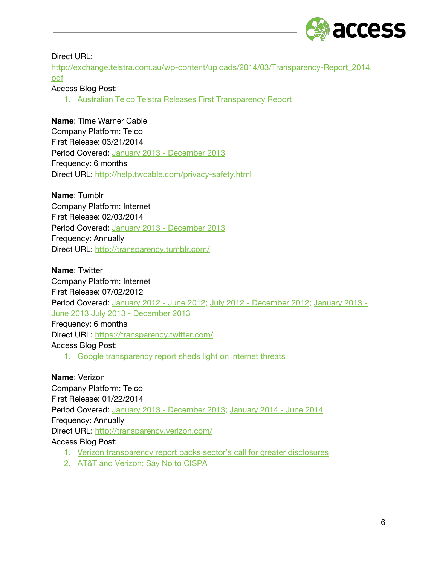

#### Direct URL:

[http://exchange.telstra.com.au/wp-content/uploads/2014/03/Transparency-Report\\_2014.](http://www.google.com/url?q=http%3A%2F%2Fexchange.telstra.com.au%2Fwp-content%2Fuploads%2F2014%2F03%2FTransparency-Report_2014.pdf&sa=D&sntz=1&usg=AFQjCNGvBi0zMNqflE15HSe5EX0DqcwvlA) [pdf](http://www.google.com/url?q=http%3A%2F%2Fexchange.telstra.com.au%2Fwp-content%2Fuploads%2F2014%2F03%2FTransparency-Report_2014.pdf&sa=D&sntz=1&usg=AFQjCNGvBi0zMNqflE15HSe5EX0DqcwvlA)

### Access Blog Post:

1. Australian Telco Telstra Releases First [Transparency](https://www.google.com/url?q=https%3A%2F%2Fwww.accessnow.org%2Fblog%2F2014%2F04%2F16%2Faustralian-telco-telstra-releases-first-transparency-report&sa=D&sntz=1&usg=AFQjCNEgLpLN1or2LaulVUPPkOC30OvLWg) Report

#### **Name**: Time Warner Cable

Company Platform: Telco First Release: 03/21/2014 Period Covered: January 2013 - [December](http://www.google.com/url?q=http%3A%2F%2Fhelp.twcable.com%2Fprivacy-safety.html&sa=D&sntz=1&usg=AFQjCNHE2--2NqVVLgwCoYkNm5ZRWtA4sQ) 2013 Frequency: 6 months Direct URL: [http://help.twcable.com/privacy-safety.html](http://www.google.com/url?q=http%3A%2F%2Fhelp.twcable.com%2Fprivacy-safety.html&sa=D&sntz=1&usg=AFQjCNHE2--2NqVVLgwCoYkNm5ZRWtA4sQ)

#### **Name**: Tumblr

Company Platform: Internet First Release: 02/03/2014 Period Covered: January 2013 - [December](http://www.google.com/url?q=http%3A%2F%2Ftransparency.tumblr.com%2F&sa=D&sntz=1&usg=AFQjCNH0vqE30GKIl9lsD2CBpkcWXMgXPw) 2013 Frequency: Annually Direct URL: [http://transparency.tumblr.com/](http://www.google.com/url?q=http%3A%2F%2Ftransparency.tumblr.com%2F&sa=D&sntz=1&usg=AFQjCNH0vqE30GKIl9lsD2CBpkcWXMgXPw)

**Name**: Twitter

Company Platform: Internet First Release: 07/02/2012 Period Covered: [January](https://www.google.com/url?q=https%3A%2F%2Ftransparency.twitter.com%2Finformation-requests%2F2012%2Fjan-jun&sa=D&sntz=1&usg=AFQjCNFiXz47NuoDO0j-2OMkpuvHp6GokQ) 2012 - June 2012; July 2012 - [December](https://www.google.com/url?q=https%3A%2F%2Ftransparency.twitter.com%2Finformation-requests%2F2012%2Fjul-dec&sa=D&sntz=1&usg=AFQjCNFbZ6YmbB3xlMANtQbLyoUIwyU99g) 2012; [January](https://www.google.com/url?q=https%3A%2F%2Ftransparency.twitter.com%2Finformation-requests%2F2013%2Fjan-jun&sa=D&sntz=1&usg=AFQjCNH2u-3o_Hk28SKxP6X-O0fZyYs7Xg) 2013 - June [2013](https://www.google.com/url?q=https%3A%2F%2Ftransparency.twitter.com%2Finformation-requests%2F2013%2Fjan-jun&sa=D&sntz=1&usg=AFQjCNH2u-3o_Hk28SKxP6X-O0fZyYs7Xg) July 2013 - [December](https://www.google.com/url?q=https%3A%2F%2Ftransparency.twitter.com%2Finformation-requests%2F2013%2Fjul-dec&sa=D&sntz=1&usg=AFQjCNEPFGDgdi0xl1_GTlM2nzAZ9c8o9g) 2013 Frequency: 6 months Direct URL: [https://transparency.twitter.com/](https://www.google.com/url?q=https%3A%2F%2Ftransparency.twitter.com%2F&sa=D&sntz=1&usg=AFQjCNGf1eJb4I3QEatuFs5fHNe9xNuXwA) Access Blog Post:

1. Google [transparency](https://www.google.com/url?q=https%3A%2F%2Fwww.accessnow.org%2Fblog%2F2012%2F12%2F06%2Fgoogle-transparency-report-sheds-light-on-internet-threats&sa=D&sntz=1&usg=AFQjCNGib83NUz9D4Lye9X25HplKRbJuoA) report sheds light on internet threats

**Name**: Verizon Company Platform: Telco First Release: 01/22/2014 Period Covered: January 2013 - [December](http://www.google.com/url?q=http%3A%2F%2Fpublicpolicy.verizon.com%2Fblog%2Fentry%2Fverizon-releases-first-transparency-report&sa=D&sntz=1&usg=AFQjCNHFo28XBtb_iVlPfzFSAuvnvycFjQ) 2013; [January](http://www.google.com/url?q=http%3A%2F%2Ftransparency.verizon.com%2F&sa=D&sntz=1&usg=AFQjCNFw9MlHZ1uhvuh3nG1cOX6OhpnM2Q) 2014 - June 2014 Frequency: Annually Direct URL: [http://transparency.verizon.com/](http://www.google.com/url?q=http%3A%2F%2Ftransparency.verizon.com%2F&sa=D&sntz=1&usg=AFQjCNFw9MlHZ1uhvuh3nG1cOX6OhpnM2Q) Access Blog Post:

- 1. Verizon [transparency](https://www.google.com/url?q=https%3A%2F%2Fwww.accessnow.org%2Fblog%2F2014%2F07%2F08%2Fverizon-transparency-report-backs-sectors-call-for-greater-disclosures&sa=D&sntz=1&usg=AFQjCNFfPQvODHIC__kBWISfimM5p1q9Mg) report backs sector's call for greater disclosures
- 2. AT&T and [Verizon:](https://www.google.com/url?q=https%3A%2F%2Fwww.accessnow.org%2Fpage%2Fs%2Fat-t-and-verizon-say-no-to-cispa&sa=D&sntz=1&usg=AFQjCNEJKmbr5hdUjg93Hfk9xAiedJByiQ) Say No to CISPA